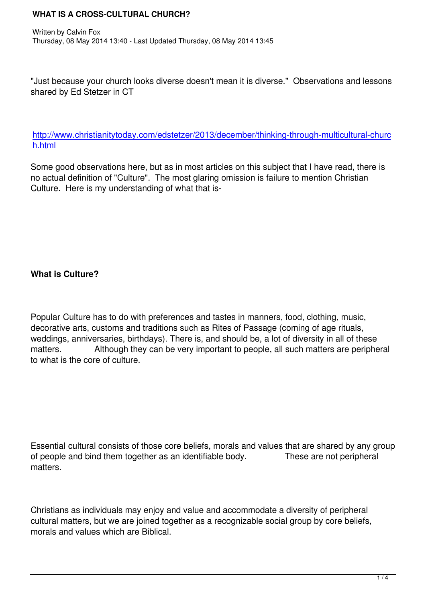"Just because your church looks diverse doesn't mean it is diverse." Observations and lessons shared by Ed Stetzer in CT

#### http://www.christianitytoday.com/edstetzer/2013/december/thinking-through-multicultural-churc h.html

[Some good observations here, but as in most articles on this subject that I have read, there is](http://www.christianitytoday.com/edstetzer/2013/december/thinking-through-multicultural-church.html) [no actu](http://www.christianitytoday.com/edstetzer/2013/december/thinking-through-multicultural-church.html)al definition of "Culture". The most glaring omission is failure to mention Christian Culture. Here is my understanding of what that is-

## **What is Culture?**

Popular Culture has to do with preferences and tastes in manners, food, clothing, music, decorative arts, customs and traditions such as Rites of Passage (coming of age rituals, weddings, anniversaries, birthdays). There is, and should be, a lot of diversity in all of these matters. Although they can be very important to people, all such matters are peripheral to what is the core of culture.

Essential cultural consists of those core beliefs, morals and values that are shared by any group of people and bind them together as an identifiable body. These are not peripheral matters.

Christians as individuals may enjoy and value and accommodate a diversity of peripheral cultural matters, but we are joined together as a recognizable social group by core beliefs, morals and values which are Biblical.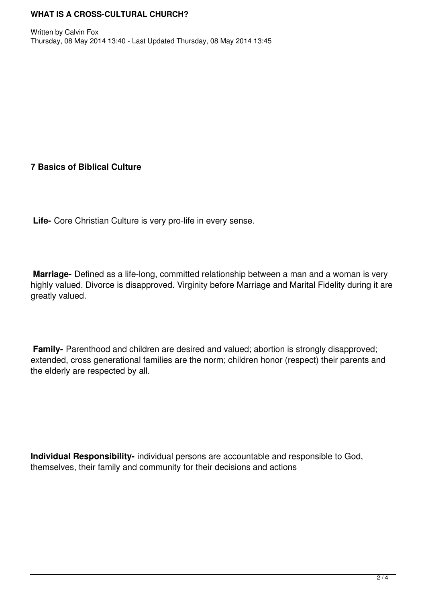## **7 Basics of Biblical Culture**

**Life-** Core Christian Culture is very pro-life in every sense.

**Marriage-** Defined as a life-long, committed relationship between a man and a woman is very highly valued. Divorce is disapproved. Virginity before Marriage and Marital Fidelity during it are greatly valued.

**Family-** Parenthood and children are desired and valued; abortion is strongly disapproved; extended, cross generational families are the norm; children honor (respect) their parents and the elderly are respected by all.

**Individual Responsibility-** individual persons are accountable and responsible to God, themselves, their family and community for their decisions and actions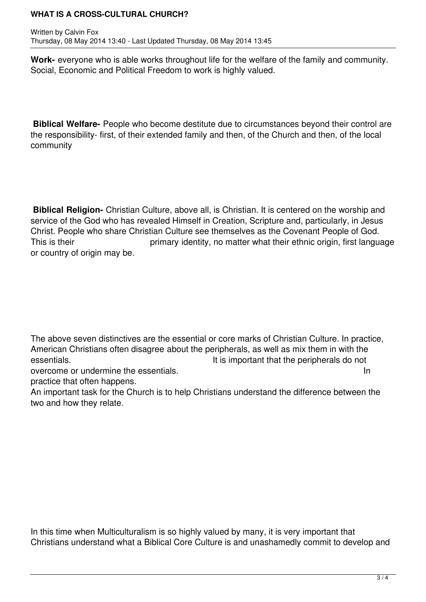#### **WHAT IS A CROSS-CULTURAL CHURCH?**

Written by Calvin Fox Thursday, 08 May 2014 13:40 - Last Updated Thursday, 08 May 2014 13:45

**Work-** everyone who is able works throughout life for the welfare of the family and community. Social, Economic and Political Freedom to work is highly valued.

**Biblical Welfare-** People who become destitute due to circumstances beyond their control are the responsibility- first, of their extended family and then, of the Church and then, of the local community

**Biblical Religion-** Christian Culture, above all, is Christian. It is centered on the worship and service of the God who has revealed Himself in Creation, Scripture and, particularly, in Jesus Christ. People who share Christian Culture see themselves as the Covenant People of God. This is their **primary identity**, no matter what their ethnic origin, first language or country of origin may be.

The above seven distinctives are the essential or core marks of Christian Culture. In practice, American Christians often disagree about the peripherals, as well as mix them in with the essentials. The interest of the interest of the interest of the peripherals do not

overcome or undermine the essentials. In the state of the state of the state of the state of the state of the state of the state of the state of the state of the state of the state of the state of the state of the state of practice that often happens.

An important task for the Church is to help Christians understand the difference between the two and how they relate.

In this time when Multiculturalism is so highly valued by many, it is very important that Christians understand what a Biblical Core Culture is and unashamedly commit to develop and